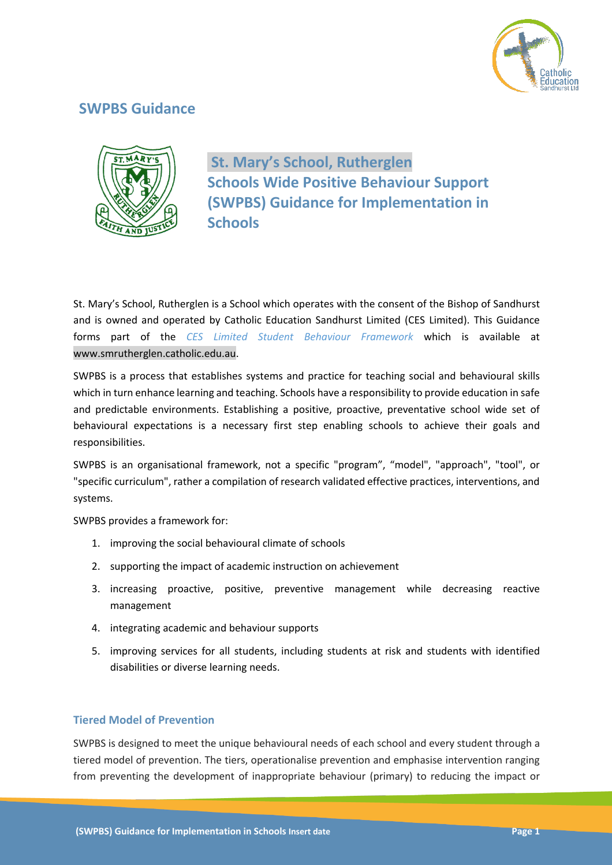

# **SWPBS Guidance**



**St. Mary's School, Rutherglen Schools Wide Positive Behaviour Support (SWPBS) Guidance for Implementation in Schools**

St. Mary's School, Rutherglen is a School which operates with the consent of the Bishop of Sandhurst and is owned and operated by Catholic Education Sandhurst Limited (CES Limited). This Guidance forms part of the *CES Limited Student Behaviour Framework* which is available at www.smrutherglen.catholic.edu.au.

SWPBS is a process that establishes systems and practice for teaching social and behavioural skills which in turn enhance learning and teaching. Schools have a responsibility to provide education in safe and predictable environments. Establishing a positive, proactive, preventative school wide set of behavioural expectations is a necessary first step enabling schools to achieve their goals and responsibilities.

SWPBS is an organisational framework, not a specific "program", "model", "approach", "tool", or "specific curriculum", rather a compilation of research validated effective practices, interventions, and systems.

SWPBS provides a framework for:

- 1. improving the social behavioural climate of schools
- 2. supporting the impact of academic instruction on achievement
- 3. increasing proactive, positive, preventive management while decreasing reactive management
- 4. integrating academic and behaviour supports
- 5. improving services for all students, including students at risk and students with identified disabilities or diverse learning needs.

# **Tiered Model of Prevention**

SWPBS is designed to meet the unique behavioural needs of each school and every student through a tiered model of prevention. The tiers, operationalise prevention and emphasise intervention ranging from preventing the development of inappropriate behaviour (primary) to reducing the impact or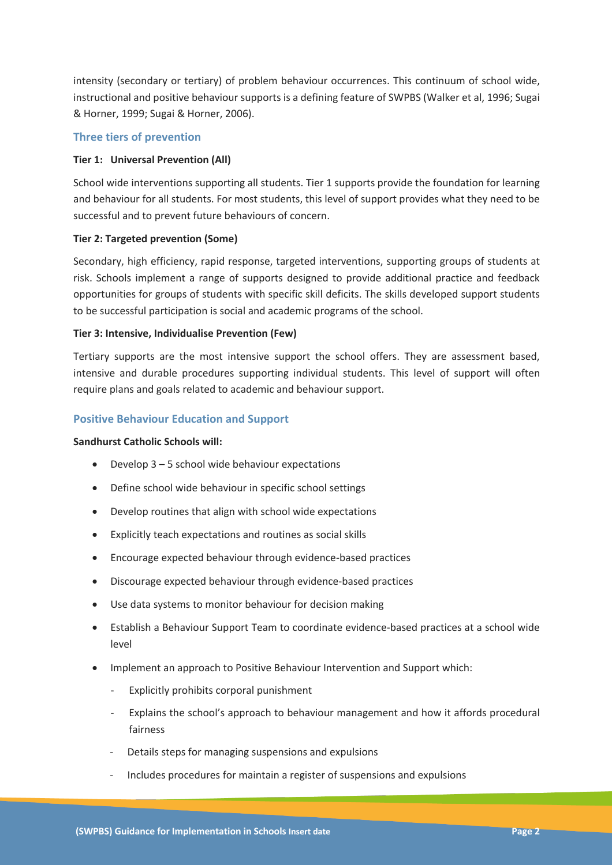intensity (secondary or tertiary) of problem behaviour occurrences. This continuum of school wide, instructional and positive behaviour supports is a defining feature of SWPBS (Walker et al, 1996; Sugai & Horner, 1999; Sugai & Horner, 2006).

# **Three tiers of prevention**

# **Tier 1: Universal Prevention (All)**

School wide interventions supporting all students. Tier 1 supports provide the foundation for learning and behaviour for all students. For most students, this level of support provides what they need to be successful and to prevent future behaviours of concern.

# **Tier 2: Targeted prevention (Some)**

Secondary, high efficiency, rapid response, targeted interventions, supporting groups of students at risk. Schools implement a range of supports designed to provide additional practice and feedback opportunities for groups of students with specific skill deficits. The skills developed support students to be successful participation is social and academic programs of the school.

# **Tier 3: Intensive, Individualise Prevention (Few)**

Tertiary supports are the most intensive support the school offers. They are assessment based, intensive and durable procedures supporting individual students. This level of support will often require plans and goals related to academic and behaviour support.

# **Positive Behaviour Education and Support**

## **Sandhurst Catholic Schools will:**

- Develop  $3 5$  school wide behaviour expectations
- Define school wide behaviour in specific school settings
- Develop routines that align with school wide expectations
- Explicitly teach expectations and routines as social skills
- Encourage expected behaviour through evidence-based practices
- Discourage expected behaviour through evidence-based practices
- Use data systems to monitor behaviour for decision making
- Establish a Behaviour Support Team to coordinate evidence-based practices at a school wide level
- Implement an approach to Positive Behaviour Intervention and Support which:
	- Explicitly prohibits corporal punishment
	- Explains the school's approach to behaviour management and how it affords procedural fairness
	- Details steps for managing suspensions and expulsions
	- Includes procedures for maintain a register of suspensions and expulsions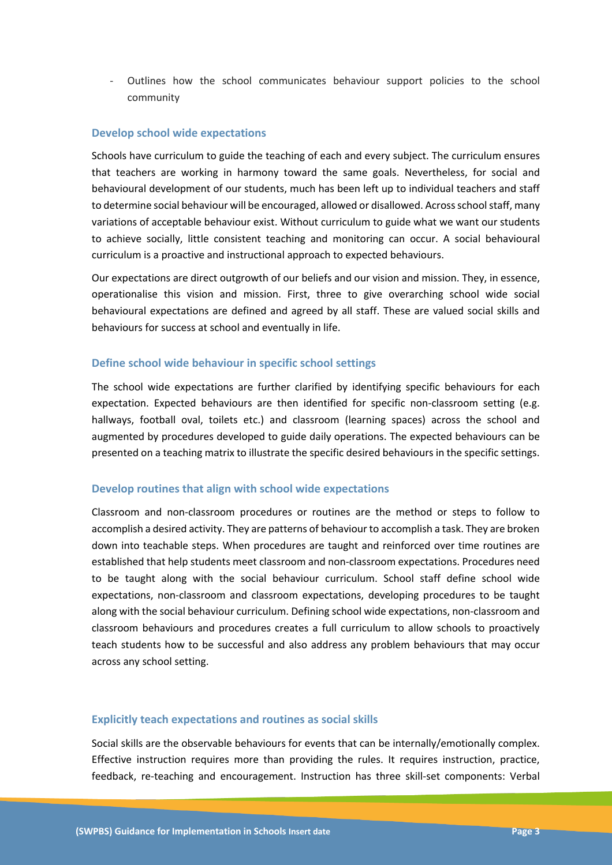- Outlines how the school communicates behaviour support policies to the school community

## **Develop school wide expectations**

Schools have curriculum to guide the teaching of each and every subject. The curriculum ensures that teachers are working in harmony toward the same goals. Nevertheless, for social and behavioural development of our students, much has been left up to individual teachers and staff to determine social behaviour will be encouraged, allowed or disallowed. Across school staff, many variations of acceptable behaviour exist. Without curriculum to guide what we want our students to achieve socially, little consistent teaching and monitoring can occur. A social behavioural curriculum is a proactive and instructional approach to expected behaviours.

Our expectations are direct outgrowth of our beliefs and our vision and mission. They, in essence, operationalise this vision and mission. First, three to give overarching school wide social behavioural expectations are defined and agreed by all staff. These are valued social skills and behaviours for success at school and eventually in life.

# **Define school wide behaviour in specific school settings**

The school wide expectations are further clarified by identifying specific behaviours for each expectation. Expected behaviours are then identified for specific non-classroom setting (e.g. hallways, football oval, toilets etc.) and classroom (learning spaces) across the school and augmented by procedures developed to guide daily operations. The expected behaviours can be presented on a teaching matrix to illustrate the specific desired behaviours in the specific settings.

## **Develop routines that align with school wide expectations**

Classroom and non-classroom procedures or routines are the method or steps to follow to accomplish a desired activity. They are patterns of behaviour to accomplish a task. They are broken down into teachable steps. When procedures are taught and reinforced over time routines are established that help students meet classroom and non-classroom expectations. Procedures need to be taught along with the social behaviour curriculum. School staff define school wide expectations, non-classroom and classroom expectations, developing procedures to be taught along with the social behaviour curriculum. Defining school wide expectations, non-classroom and classroom behaviours and procedures creates a full curriculum to allow schools to proactively teach students how to be successful and also address any problem behaviours that may occur across any school setting.

## **Explicitly teach expectations and routines as social skills**

Social skills are the observable behaviours for events that can be internally/emotionally complex. Effective instruction requires more than providing the rules. It requires instruction, practice, feedback, re-teaching and encouragement. Instruction has three skill-set components: Verbal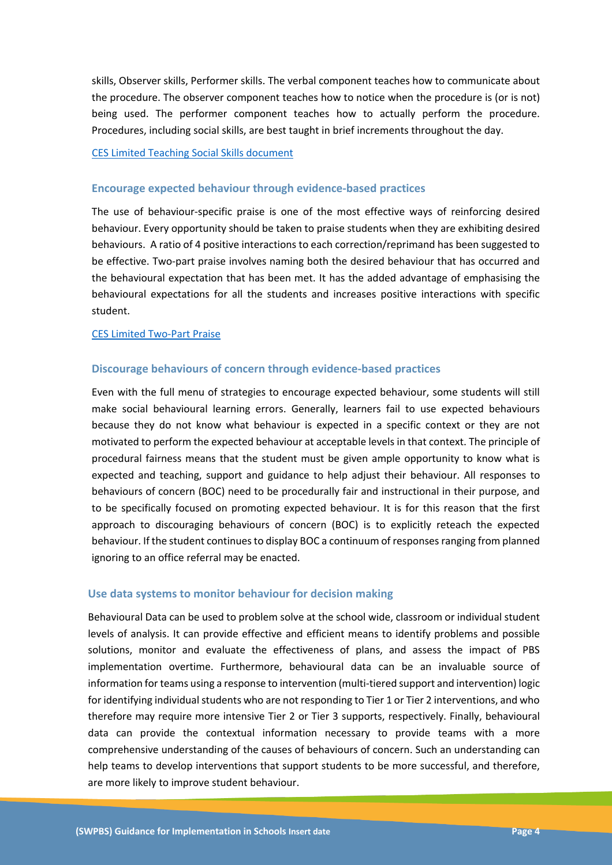skills, Observer skills, Performer skills. The verbal component teaches how to communicate about the procedure. The observer component teaches how to notice when the procedure is (or is not) being used. The performer component teaches how to actually perform the procedure. Procedures, including social skills, are best taught in brief increments throughout the day.

### CES Limited Teaching Social Skills document

#### **Encourage expected behaviour through evidence-based practices**

The use of behaviour-specific praise is one of the most effective ways of reinforcing desired behaviour. Every opportunity should be taken to praise students when they are exhibiting desired behaviours. A ratio of 4 positive interactions to each correction/reprimand has been suggested to be effective. Two-part praise involves naming both the desired behaviour that has occurred and the behavioural expectation that has been met. It has the added advantage of emphasising the behavioural expectations for all the students and increases positive interactions with specific student.

#### CES Limited Two-Part Praise

### **Discourage behaviours of concern through evidence-based practices**

Even with the full menu of strategies to encourage expected behaviour, some students will still make social behavioural learning errors. Generally, learners fail to use expected behaviours because they do not know what behaviour is expected in a specific context or they are not motivated to perform the expected behaviour at acceptable levels in that context. The principle of procedural fairness means that the student must be given ample opportunity to know what is expected and teaching, support and guidance to help adjust their behaviour. All responses to behaviours of concern (BOC) need to be procedurally fair and instructional in their purpose, and to be specifically focused on promoting expected behaviour. It is for this reason that the first approach to discouraging behaviours of concern (BOC) is to explicitly reteach the expected behaviour. If the student continues to display BOC a continuum of responsesranging from planned ignoring to an office referral may be enacted.

#### **Use data systems to monitor behaviour for decision making**

Behavioural Data can be used to problem solve at the school wide, classroom or individual student levels of analysis. It can provide effective and efficient means to identify problems and possible solutions, monitor and evaluate the effectiveness of plans, and assess the impact of PBS implementation overtime. Furthermore, behavioural data can be an invaluable source of information for teams using a response to intervention (multi-tiered support and intervention) logic for identifying individual students who are not responding to Tier 1 or Tier 2 interventions, and who therefore may require more intensive Tier 2 or Tier 3 supports, respectively. Finally, behavioural data can provide the contextual information necessary to provide teams with a more comprehensive understanding of the causes of behaviours of concern. Such an understanding can help teams to develop interventions that support students to be more successful, and therefore, are more likely to improve student behaviour.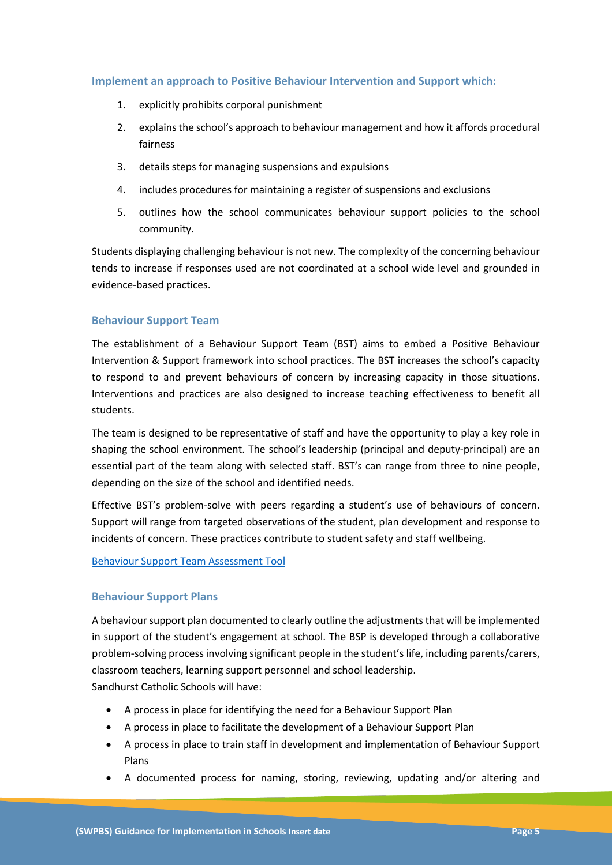# **Implement an approach to Positive Behaviour Intervention and Support which:**

- 1. explicitly prohibits corporal punishment
- 2. explains the school's approach to behaviour management and how it affords procedural fairness
- 3. details steps for managing suspensions and expulsions
- 4. includes procedures for maintaining a register of suspensions and exclusions
- 5. outlines how the school communicates behaviour support policies to the school community.

Students displaying challenging behaviour is not new. The complexity of the concerning behaviour tends to increase if responses used are not coordinated at a school wide level and grounded in evidence-based practices.

# **Behaviour Support Team**

The establishment of a Behaviour Support Team (BST) aims to embed a Positive Behaviour Intervention & Support framework into school practices. The BST increases the school's capacity to respond to and prevent behaviours of concern by increasing capacity in those situations. Interventions and practices are also designed to increase teaching effectiveness to benefit all students.

The team is designed to be representative of staff and have the opportunity to play a key role in shaping the school environment. The school's leadership (principal and deputy-principal) are an essential part of the team along with selected staff. BST's can range from three to nine people, depending on the size of the school and identified needs.

Effective BST's problem-solve with peers regarding a student's use of behaviours of concern. Support will range from targeted observations of the student, plan development and response to incidents of concern. These practices contribute to student safety and staff wellbeing.

Behaviour Support Team Assessment Tool

## **Behaviour Support Plans**

A behaviour support plan documented to clearly outline the adjustments that will be implemented in support of the student's engagement at school. The BSP is developed through a collaborative problem-solving process involving significant people in the student's life, including parents/carers, classroom teachers, learning support personnel and school leadership. Sandhurst Catholic Schools will have:

- A process in place for identifying the need for a Behaviour Support Plan
- A process in place to facilitate the development of a Behaviour Support Plan
- A process in place to train staff in development and implementation of Behaviour Support Plans
- A documented process for naming, storing, reviewing, updating and/or altering and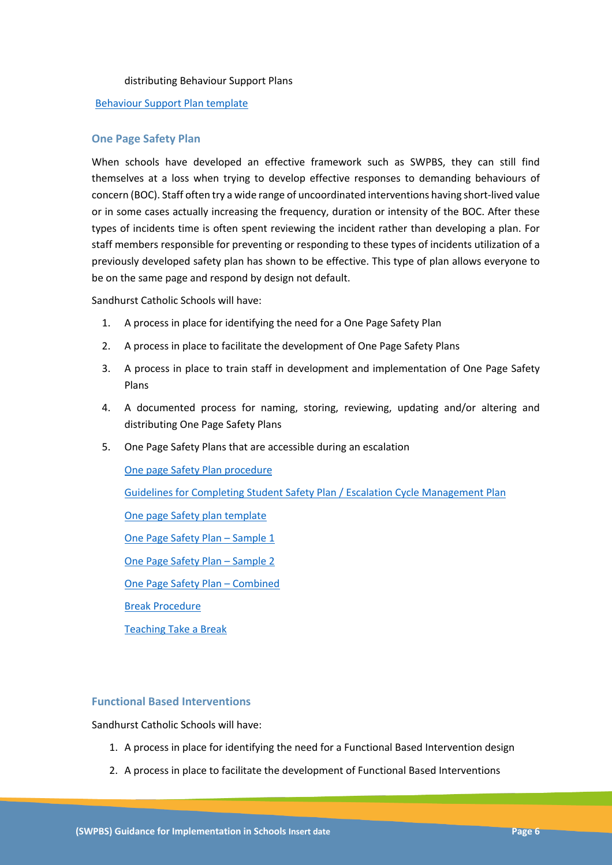#### distributing Behaviour Support Plans

#### Behaviour Support Plan template

# **One Page Safety Plan**

When schools have developed an effective framework such as SWPBS, they can still find themselves at a loss when trying to develop effective responses to demanding behaviours of concern (BOC). Staff often try a wide range of uncoordinated interventions having short-lived value or in some cases actually increasing the frequency, duration or intensity of the BOC. After these types of incidents time is often spent reviewing the incident rather than developing a plan. For staff members responsible for preventing or responding to these types of incidents utilization of a previously developed safety plan has shown to be effective. This type of plan allows everyone to be on the same page and respond by design not default.

Sandhurst Catholic Schools will have:

- 1. A process in place for identifying the need for a One Page Safety Plan
- 2. A process in place to facilitate the development of One Page Safety Plans
- 3. A process in place to train staff in development and implementation of One Page Safety Plans
- 4. A documented process for naming, storing, reviewing, updating and/or altering and distributing One Page Safety Plans
- 5. One Page Safety Plans that are accessible during an escalation

One page Safety Plan procedure Guidelines for Completing Student Safety Plan / Escalation Cycle Management Plan One page Safety plan template One Page Safety Plan – Sample 1 One Page Safety Plan – Sample 2 One Page Safety Plan – Combined Break Procedure Teaching Take a Break

# **Functional Based Interventions**

Sandhurst Catholic Schools will have:

- 1. A process in place for identifying the need for a Functional Based Intervention design
- 2. A process in place to facilitate the development of Functional Based Interventions